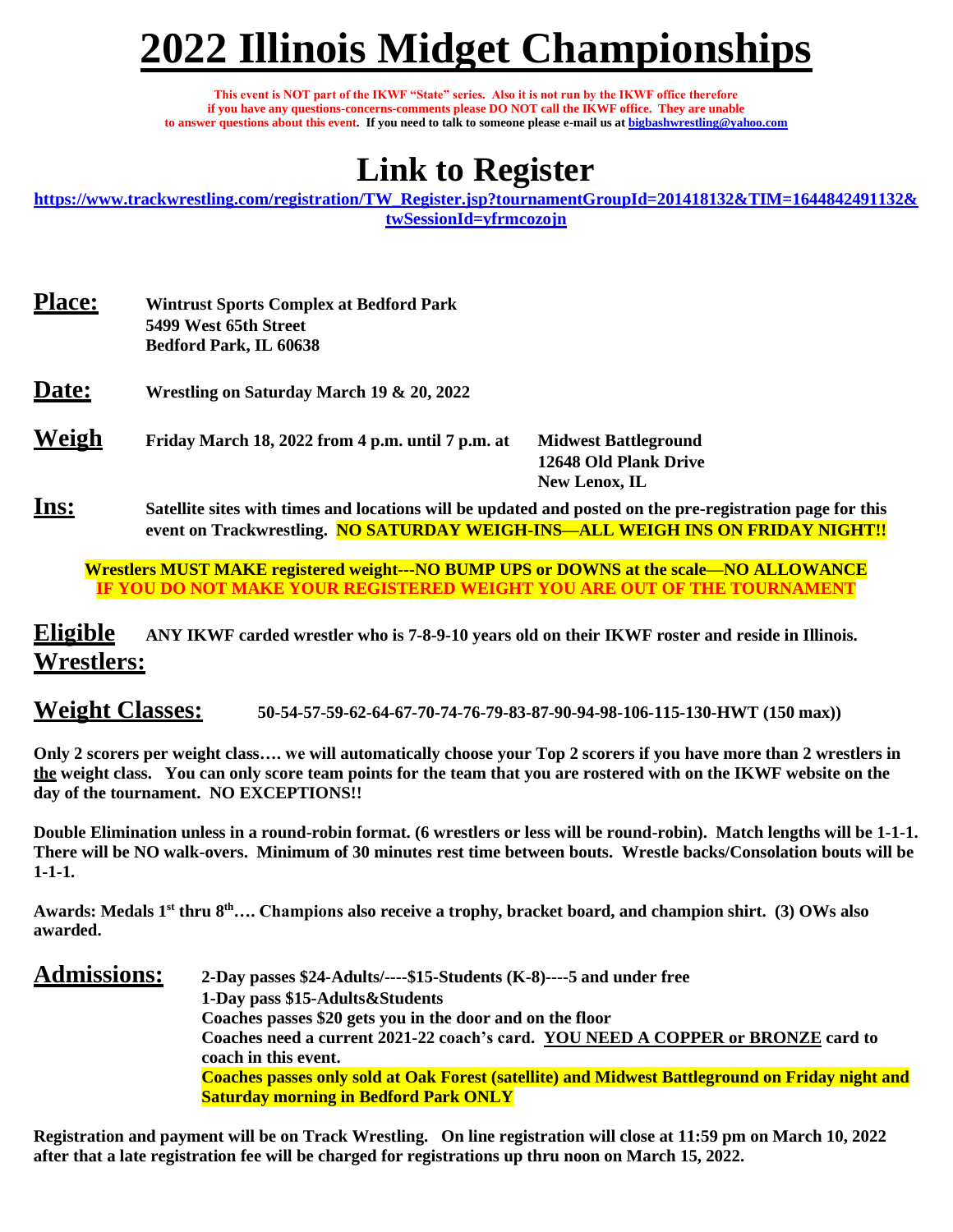# **2022 Illinois Midget Championships**

**This event is NOT part of the IKWF "State" series. Also it is not run by the IKWF office therefore if you have any questions-concerns-comments please DO NOT call the IKWF office. They are unable to answer questions about this event. If you need to talk to someone please e-mail us at [bigbashwrestling@yahoo.com](mailto:bigbashwrestling@yahoo.com)**

# **Link to Register**

**[https://www.trackwrestling.com/registration/TW\\_Register.jsp?tournamentGroupId=201418132&TIM=1644842491132&](https://www.trackwrestling.com/registration/TW_Register.jsp?tournamentGroupId=201418132&TIM=1644842491132&twSessionId=yfrmcozojn) [twSessionId=yfrmcozojn](https://www.trackwrestling.com/registration/TW_Register.jsp?tournamentGroupId=201418132&TIM=1644842491132&twSessionId=yfrmcozojn)**

| <b>Place:</b> | <b>Wintrust Sports Complex at Bedford Park</b><br>5499 West 65th Street<br>Bedford Park, IL 60638                                                                                           |                                                                       |
|---------------|---------------------------------------------------------------------------------------------------------------------------------------------------------------------------------------------|-----------------------------------------------------------------------|
| Date:         | Wrestling on Saturday March 19 & 20, 2022                                                                                                                                                   |                                                                       |
| Weigh         | Friday March 18, 2022 from 4 p.m. until 7 p.m. at                                                                                                                                           | <b>Midwest Battleground</b><br>12648 Old Plank Drive<br>New Lenox, IL |
| <u>Ins:</u>   | Satellite sites with times and locations will be updated and posted on the pre-registration page for this<br>event on Trackwrestling. NO SATURDAY WEIGH-INS—ALL WEIGH INS ON FRIDAY NIGHT!! |                                                                       |

**Wrestlers MUST MAKE registered weight---NO BUMP UPS or DOWNS at the scale—NO ALLOWANCE IF YOU DO NOT MAKE YOUR REGISTERED WEIGHT YOU ARE OUT OF THE TOURNAMENT**

**Eligible ANY IKWF carded wrestler who is 7-8-9-10 years old on their IKWF roster and reside in Illinois. Wrestlers:** 

**Weight Classes: 50-54-57-59-62-64-67-70-74-76-79-83-87-90-94-98-106-115-130-HWT (150 max))**

**Only 2 scorers per weight class…. we will automatically choose your Top 2 scorers if you have more than 2 wrestlers in the weight class. You can only score team points for the team that you are rostered with on the IKWF website on the day of the tournament. NO EXCEPTIONS!!**

**Double Elimination unless in a round-robin format. (6 wrestlers or less will be round-robin). Match lengths will be 1-1-1. There will be NO walk-overs. Minimum of 30 minutes rest time between bouts. Wrestle backs/Consolation bouts will be 1-1-1.**

**Awards: Medals 1st thru 8th…. Champions also receive a trophy, bracket board, and champion shirt. (3) OWs also awarded.**

#### **Admissions: 2-Day passes \$24-Adults/----\$15-Students (K-8)----5 and under free 1-Day pass \$15-Adults&Students Coaches passes \$20 gets you in the door and on the floor Coaches need a current 2021-22 coach's card. YOU NEED A COPPER or BRONZE card to coach in this event. Coaches passes only sold at Oak Forest (satellite) and Midwest Battleground on Friday night and Saturday morning in Bedford Park ONLY**

**Registration and payment will be on Track Wrestling. On line registration will close at 11:59 pm on March 10, 2022 after that a late registration fee will be charged for registrations up thru noon on March 15, 2022.**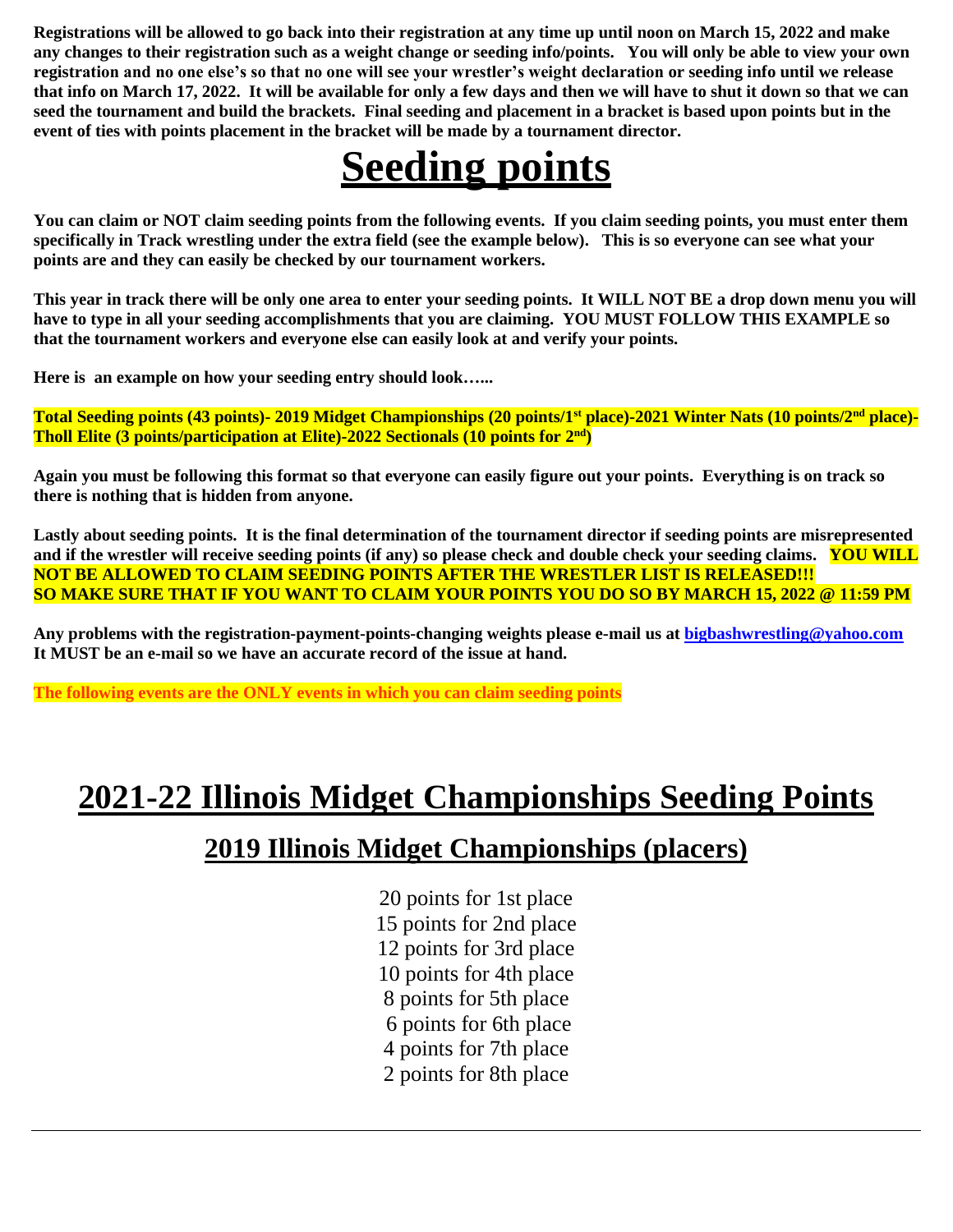**Registrations will be allowed to go back into their registration at any time up until noon on March 15, 2022 and make any changes to their registration such as a weight change or seeding info/points. You will only be able to view your own registration and no one else's so that no one will see your wrestler's weight declaration or seeding info until we release that info on March 17, 2022. It will be available for only a few days and then we will have to shut it down so that we can seed the tournament and build the brackets. Final seeding and placement in a bracket is based upon points but in the event of ties with points placement in the bracket will be made by a tournament director.** 

# **Seeding points**

**You can claim or NOT claim seeding points from the following events. If you claim seeding points, you must enter them specifically in Track wrestling under the extra field (see the example below). This is so everyone can see what your points are and they can easily be checked by our tournament workers.** 

**This year in track there will be only one area to enter your seeding points. It WILL NOT BE a drop down menu you will have to type in all your seeding accomplishments that you are claiming. YOU MUST FOLLOW THIS EXAMPLE so that the tournament workers and everyone else can easily look at and verify your points.** 

**Here is an example on how your seeding entry should look…...**

**Total Seeding points (43 points)- 2019 Midget Championships (20 points/1st place)-2021 Winter Nats (10 points/2nd place)- Tholl Elite (3 points/participation at Elite)-2022 Sectionals (10 points for 2nd)**

**Again you must be following this format so that everyone can easily figure out your points. Everything is on track so there is nothing that is hidden from anyone.** 

**Lastly about seeding points. It is the final determination of the tournament director if seeding points are misrepresented and if the wrestler will receive seeding points (if any) so please check and double check your seeding claims. YOU WILL NOT BE ALLOWED TO CLAIM SEEDING POINTS AFTER THE WRESTLER LIST IS RELEASED!!! SO MAKE SURE THAT IF YOU WANT TO CLAIM YOUR POINTS YOU DO SO BY MARCH 15, 2022 @ 11:59 PM**

Any problems with the registration-payment-points-changing weights please e-mail us at **bigbashwrestling@yahoo.com It MUST be an e-mail so we have an accurate record of the issue at hand.** 

**The following events are the ONLY events in which you can claim seeding points**

## **2021-22 Illinois Midget Championships Seeding Points**

## **2019 Illinois Midget Championships (placers)**

20 points for 1st place 15 points for 2nd place 12 points for 3rd place 10 points for 4th place 8 points for 5th place 6 points for 6th place 4 points for 7th place 2 points for 8th place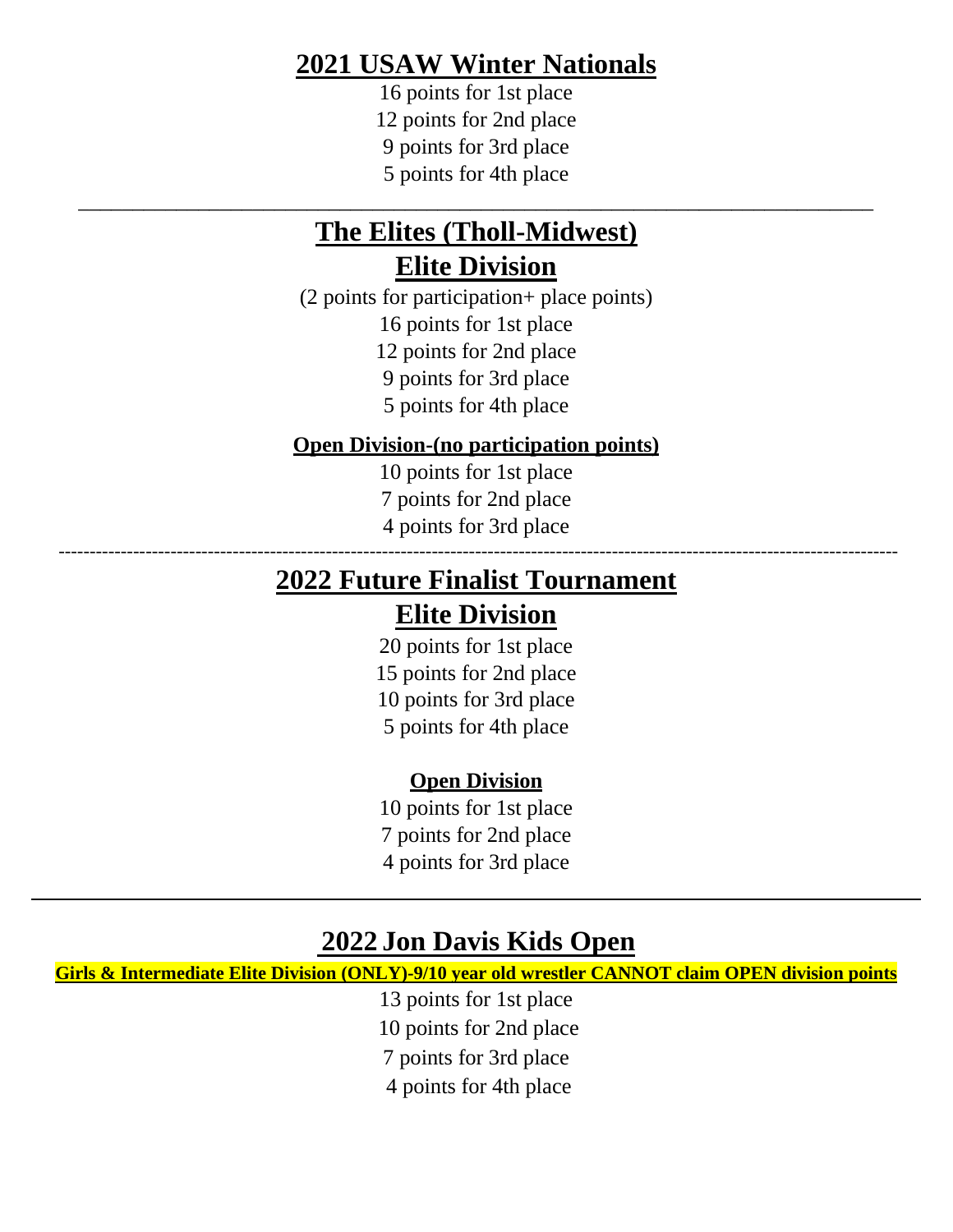## **2021 USAW Winter Nationals**

16 points for 1st place 12 points for 2nd place 9 points for 3rd place 5 points for 4th place

## **The Elites (Tholl-Midwest) Elite Division**

\_\_\_\_\_\_\_\_\_\_\_\_\_\_\_\_\_\_\_\_\_\_\_\_\_\_\_\_\_\_\_\_\_\_\_\_\_\_\_\_\_\_\_\_\_\_\_\_\_\_\_\_\_\_\_\_\_\_\_\_\_\_\_\_\_\_\_\_\_\_\_\_\_

(2 points for participation+ place points) 16 points for 1st place 12 points for 2nd place 9 points for 3rd place 5 points for 4th place

### **Open Division-(no participation points)**

10 points for 1st place 7 points for 2nd place 4 points for 3rd place

---------------------------------------------------------------------------------------------------------------------------------------

## **2022 Future Finalist Tournament**

### **Elite Division**

20 points for 1st place 15 points for 2nd place 10 points for 3rd place 5 points for 4th place

### **Open Division**

10 points for 1st place 7 points for 2nd place 4 points for 3rd place

### **2022 Jon Davis Kids Open**

**Girls & Intermediate Elite Division (ONLY)-9/10 year old wrestler CANNOT claim OPEN division points**

13 points for 1st place 10 points for 2nd place 7 points for 3rd place 4 points for 4th place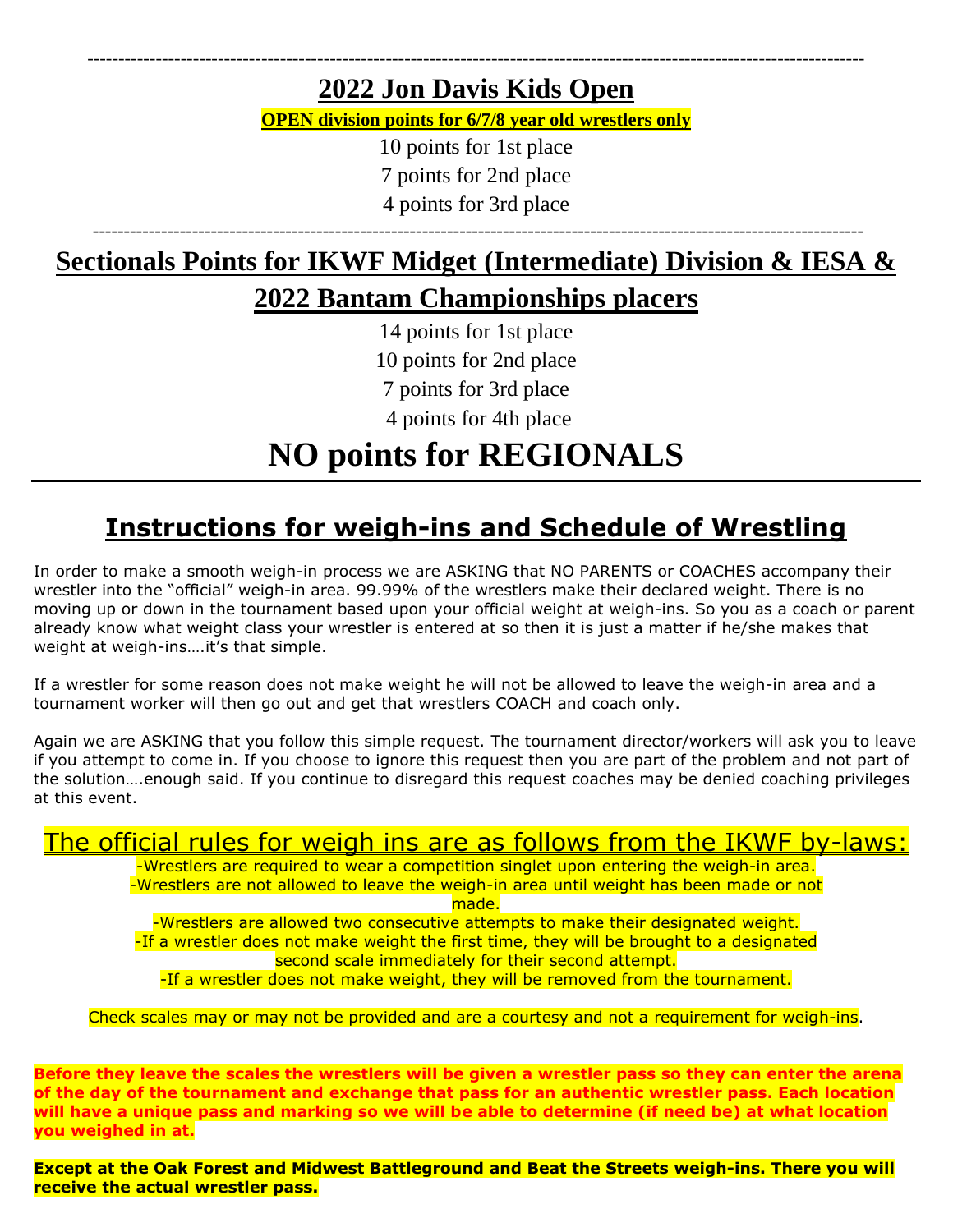### ----------------------------------------------------------------------------------------------------------------------------- **2022 Jon Davis Kids Open**

**OPEN division points for 6/7/8 year old wrestlers only**

10 points for 1st place

7 points for 2nd place

4 points for 3rd place

## ----------------------------------------------------------------------------------------------------------------------------

## **Sectionals Points for IKWF Midget (Intermediate) Division & IESA & 2022 Bantam Championships placers**

14 points for 1st place 10 points for 2nd place 7 points for 3rd place 4 points for 4th place

## **NO points for REGIONALS**

## **Instructions for weigh-ins and Schedule of Wrestling**

In order to make a smooth weigh-in process we are ASKING that NO PARENTS or COACHES accompany their wrestler into the "official" weigh-in area. 99.99% of the wrestlers make their declared weight. There is no moving up or down in the tournament based upon your official weight at weigh-ins. So you as a coach or parent already know what weight class your wrestler is entered at so then it is just a matter if he/she makes that weight at weigh-ins….it's that simple.

If a wrestler for some reason does not make weight he will not be allowed to leave the weigh-in area and a tournament worker will then go out and get that wrestlers COACH and coach only.

Again we are ASKING that you follow this simple request. The tournament director/workers will ask you to leave if you attempt to come in. If you choose to ignore this request then you are part of the problem and not part of the solution….enough said. If you continue to disregard this request coaches may be denied coaching privileges at this event.

## The official rules for weigh ins are as follows from the IKWF by-laws:

-Wrestlers are required to wear a competition singlet upon entering the weigh-in area. -Wrestlers are not allowed to leave the weigh-in area until weight has been made or not made.

-Wrestlers are allowed two consecutive attempts to make their designated weight. -If a wrestler does not make weight the first time, they will be brought to a designated second scale immediately for their second attempt. -If a wrestler does not make weight, they will be removed from the tournament.

Check scales may or may not be provided and are a courtesy and not a requirement for weigh-ins.

**Before they leave the scales the wrestlers will be given a wrestler pass so they can enter the arena of the day of the tournament and exchange that pass for an authentic wrestler pass. Each location will have a unique pass and marking so we will be able to determine (if need be) at what location you weighed in at.**

**Except at the Oak Forest and Midwest Battleground and Beat the Streets weigh-ins. There you will receive the actual wrestler pass.**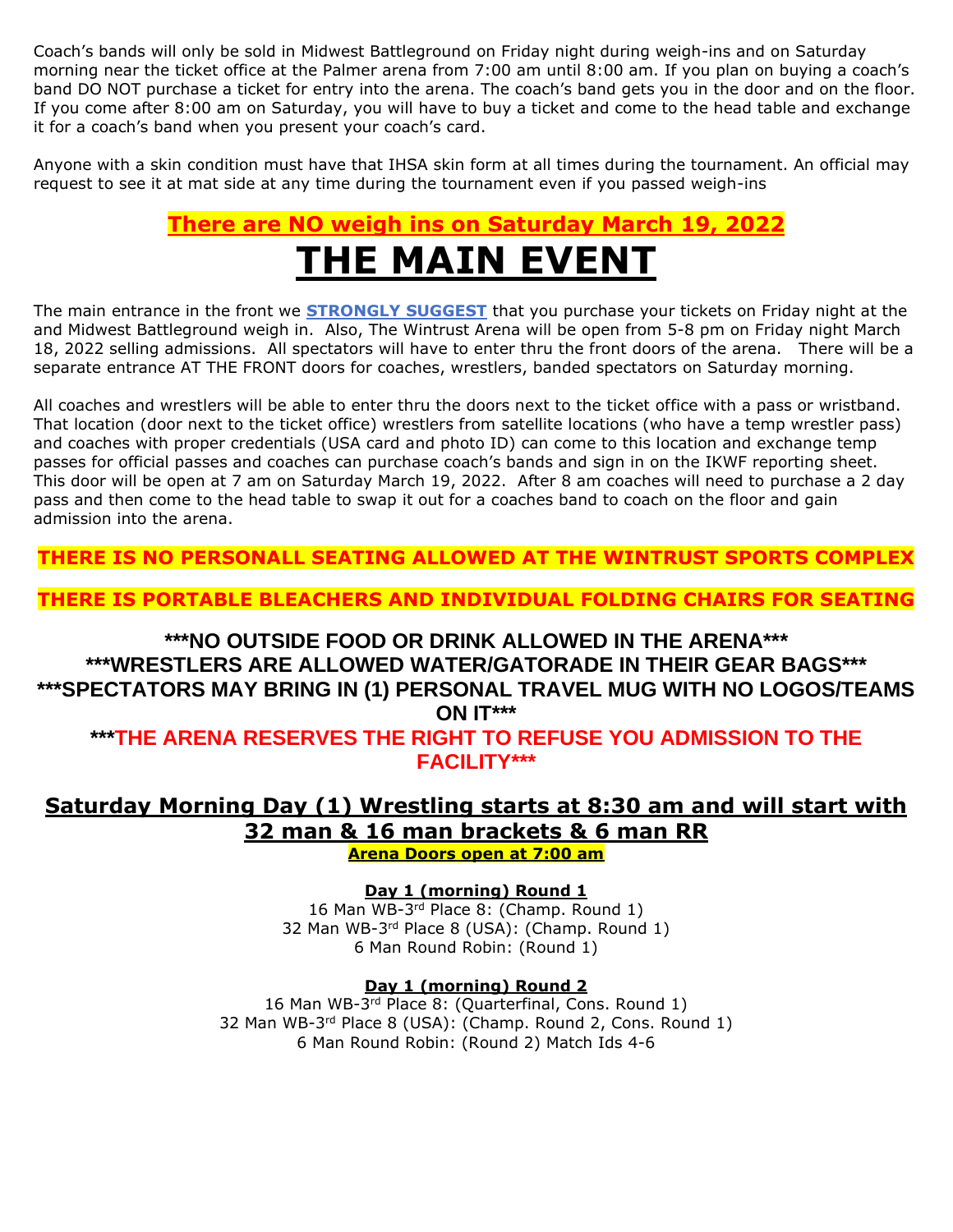Coach's bands will only be sold in Midwest Battleground on Friday night during weigh-ins and on Saturday morning near the ticket office at the Palmer arena from 7:00 am until 8:00 am. If you plan on buying a coach's band DO NOT purchase a ticket for entry into the arena. The coach's band gets you in the door and on the floor. If you come after 8:00 am on Saturday, you will have to buy a ticket and come to the head table and exchange it for a coach's band when you present your coach's card.

Anyone with a skin condition must have that IHSA skin form at all times during the tournament. An official may request to see it at mat side at any time during the tournament even if you passed weigh-ins

## **There are NO weigh ins on Saturday March 19, 2022 THE MAIN EVENT**

The main entrance in the front we **STRONGLY SUGGEST** that you purchase your tickets on Friday night at the and Midwest Battleground weigh in. Also, The Wintrust Arena will be open from 5-8 pm on Friday night March 18, 2022 selling admissions. All spectators will have to enter thru the front doors of the arena. There will be a separate entrance AT THE FRONT doors for coaches, wrestlers, banded spectators on Saturday morning.

All coaches and wrestlers will be able to enter thru the doors next to the ticket office with a pass or wristband. That location (door next to the ticket office) wrestlers from satellite locations (who have a temp wrestler pass) and coaches with proper credentials (USA card and photo ID) can come to this location and exchange temp passes for official passes and coaches can purchase coach's bands and sign in on the IKWF reporting sheet. This door will be open at 7 am on Saturday March 19, 2022. After 8 am coaches will need to purchase a 2 day pass and then come to the head table to swap it out for a coaches band to coach on the floor and gain admission into the arena.

**THERE IS NO PERSONALL SEATING ALLOWED AT THE WINTRUST SPORTS COMPLEX**

**THERE IS PORTABLE BLEACHERS AND INDIVIDUAL FOLDING CHAIRS FOR SEATING**

### **\*\*\*NO OUTSIDE FOOD OR DRINK ALLOWED IN THE ARENA\*\*\* \*\*\*WRESTLERS ARE ALLOWED WATER/GATORADE IN THEIR GEAR BAGS\*\*\* \*\*\*SPECTATORS MAY BRING IN (1) PERSONAL TRAVEL MUG WITH NO LOGOS/TEAMS ON IT\*\*\***

**\*\*\*THE ARENA RESERVES THE RIGHT TO REFUSE YOU ADMISSION TO THE FACILITY\*\*\***

### **Saturday Morning Day (1) Wrestling starts at 8:30 am and will start with 32 man & 16 man brackets & 6 man RR**

**Arena Doors open at 7:00 am**

**Day 1 (morning) Round 1**

16 Man WB-3<sup>rd</sup> Place 8: (Champ. Round 1) 32 Man WB-3<sup>rd</sup> Place 8 (USA): (Champ. Round 1) 6 Man Round Robin: (Round 1)

### **Day 1 (morning) Round 2**

16 Man WB-3<sup>rd</sup> Place 8: (Quarterfinal, Cons. Round 1) 32 Man WB-3<sup>rd</sup> Place 8 (USA): (Champ. Round 2, Cons. Round 1) 6 Man Round Robin: (Round 2) Match Ids 4-6